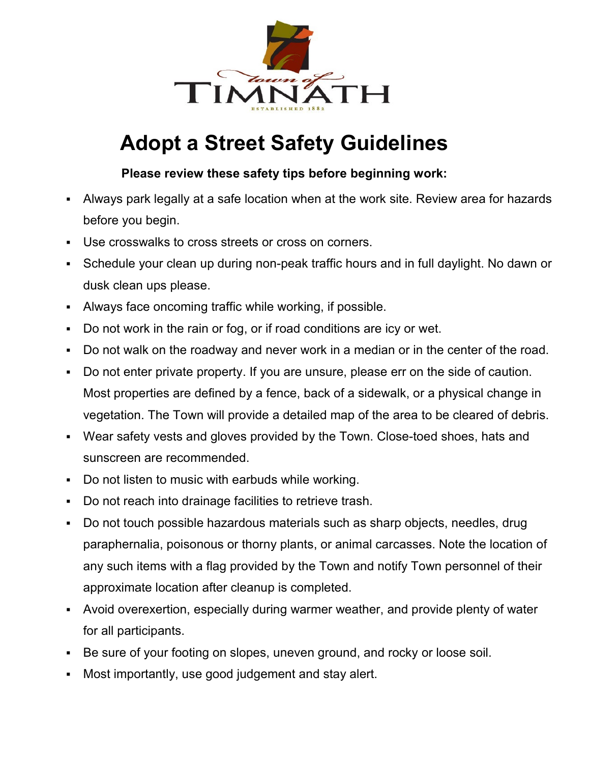

## **Adopt a Street Safety Guidelines**

## **Please review these safety tips before beginning work:**

- Always park legally at a safe location when at the work site. Review area for hazards before you begin.
- Use crosswalks to cross streets or cross on corners.
- Schedule your clean up during non-peak traffic hours and in full daylight. No dawn or dusk clean ups please.
- Always face oncoming traffic while working, if possible.
- Do not work in the rain or fog, or if road conditions are icy or wet.
- Do not walk on the roadway and never work in a median or in the center of the road.
- Do not enter private property. If you are unsure, please err on the side of caution. Most properties are defined by a fence, back of a sidewalk, or a physical change in vegetation. The Town will provide a detailed map of the area to be cleared of debris.
- Wear safety vests and gloves provided by the Town. Close-toed shoes, hats and sunscreen are recommended.
- Do not listen to music with earbuds while working.
- Do not reach into drainage facilities to retrieve trash.
- Do not touch possible hazardous materials such as sharp objects, needles, drug paraphernalia, poisonous or thorny plants, or animal carcasses. Note the location of any such items with a flag provided by the Town and notify Town personnel of their approximate location after cleanup is completed.
- Avoid overexertion, especially during warmer weather, and provide plenty of water for all participants.
- Be sure of your footing on slopes, uneven ground, and rocky or loose soil.
- Most importantly, use good judgement and stay alert.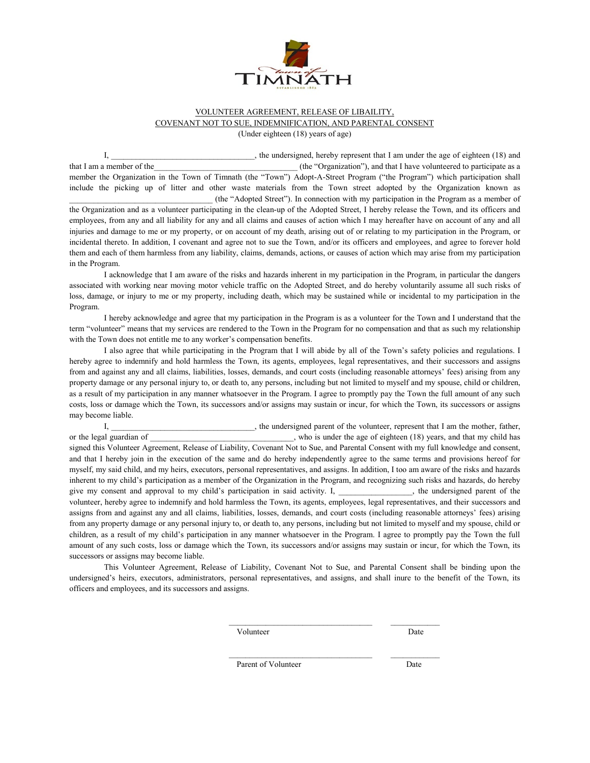

## VOLUNTEER AGREEMENT, RELEASE OF LIBAILITY, COVENANT NOT TO SUE, INDEMNIFICATION, AND PARENTAL CONSENT (Under eighteen (18) years of age)

I, the undersigned, hereby represent that I am under the age of eighteen (18) and that I am a member of the the that I have volunteered to participate as a set of the "Organization"), and that I have volunteered to participate as a member the Organization in the Town of Timnath (the "Town") Adopt-A-Street Program ("the Program") which participation shall include the picking up of litter and other waste materials from the Town street adopted by the Organization known as \_\_\_\_\_\_\_\_\_\_\_\_\_\_\_\_\_\_\_\_\_\_\_\_\_\_\_\_\_\_\_\_\_\_\_ (the "Adopted Street"). In connection with my participation in the Program as a member of

the Organization and as a volunteer participating in the clean-up of the Adopted Street, I hereby release the Town, and its officers and employees, from any and all liability for any and all claims and causes of action which I may hereafter have on account of any and all injuries and damage to me or my property, or on account of my death, arising out of or relating to my participation in the Program, or incidental thereto. In addition, I covenant and agree not to sue the Town, and/or its officers and employees, and agree to forever hold them and each of them harmless from any liability, claims, demands, actions, or causes of action which may arise from my participation in the Program.

I acknowledge that I am aware of the risks and hazards inherent in my participation in the Program, in particular the dangers associated with working near moving motor vehicle traffic on the Adopted Street, and do hereby voluntarily assume all such risks of loss, damage, or injury to me or my property, including death, which may be sustained while or incidental to my participation in the Program.

I hereby acknowledge and agree that my participation in the Program is as a volunteer for the Town and I understand that the term "volunteer" means that my services are rendered to the Town in the Program for no compensation and that as such my relationship with the Town does not entitle me to any worker's compensation benefits.

I also agree that while participating in the Program that I will abide by all of the Town's safety policies and regulations. I hereby agree to indemnify and hold harmless the Town, its agents, employees, legal representatives, and their successors and assigns from and against any and all claims, liabilities, losses, demands, and court costs (including reasonable attorneys' fees) arising from any property damage or any personal injury to, or death to, any persons, including but not limited to myself and my spouse, child or children, as a result of my participation in any manner whatsoever in the Program. I agree to promptly pay the Town the full amount of any such costs, loss or damage which the Town, its successors and/or assigns may sustain or incur, for which the Town, its successors or assigns may become liable.

I, \_\_\_\_\_\_\_\_\_\_\_\_\_\_\_\_\_\_\_\_\_\_\_, the undersigned parent of the volunteer, represent that I am the mother, father, or the legal guardian of who is under the age of eighteen (18) years, and that my child has signed this Volunteer Agreement, Release of Liability, Covenant Not to Sue, and Parental Consent with my full knowledge and consent, and that I hereby join in the execution of the same and do hereby independently agree to the same terms and provisions hereof for myself, my said child, and my heirs, executors, personal representatives, and assigns. In addition, I too am aware of the risks and hazards inherent to my child's participation as a member of the Organization in the Program, and recognizing such risks and hazards, do hereby give my consent and approval to my child's participation in said activity. I, \_\_\_\_\_\_\_\_\_\_\_\_\_\_, the undersigned parent of the volunteer, hereby agree to indemnify and hold harmless the Town, its agents, employees, legal representatives, and their successors and assigns from and against any and all claims, liabilities, losses, demands, and court costs (including reasonable attorneys' fees) arising from any property damage or any personal injury to, or death to, any persons, including but not limited to myself and my spouse, child or children, as a result of my child's participation in any manner whatsoever in the Program. I agree to promptly pay the Town the full amount of any such costs, loss or damage which the Town, its successors and/or assigns may sustain or incur, for which the Town, its successors or assigns may become liable.

This Volunteer Agreement, Release of Liability, Covenant Not to Sue, and Parental Consent shall be binding upon the undersigned's heirs, executors, administrators, personal representatives, and assigns, and shall inure to the benefit of the Town, its officers and employees, and its successors and assigns.

 $\mathcal{L}_\text{max}$ Volunteer Date

 $\mathcal{L}_\text{max}$ 

Parent of Volunteer Date